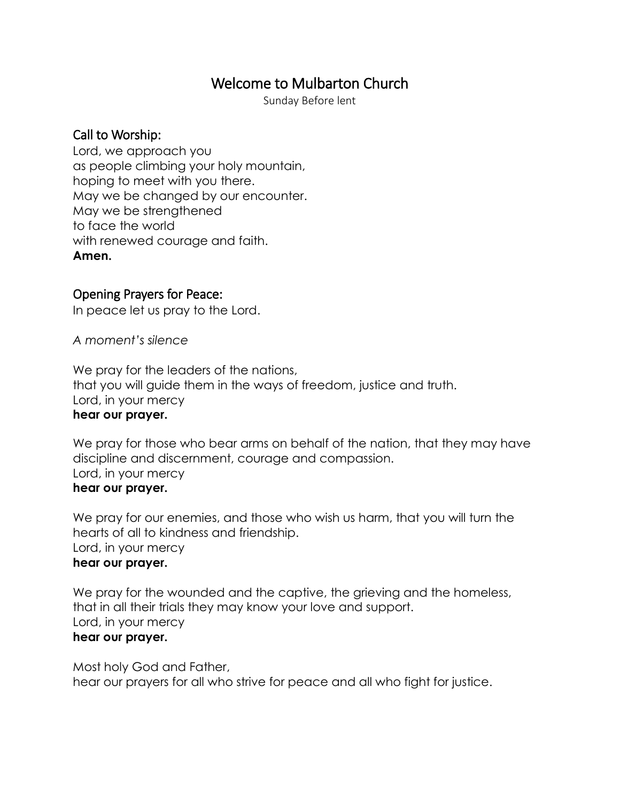# Welcome to Mulbarton Church

Sunday Before lent

### Call to Worship:

Lord, we approach you as people climbing your holy mountain, hoping to meet with you there. May we be changed by our encounter. May we be strengthened to face the world with renewed courage and faith. **Amen.**

### Opening Prayers for Peace:

In peace let us pray to the Lord.

*A moment's silence*

We pray for the leaders of the nations, that you will guide them in the ways of freedom, justice and truth. Lord, in your mercy **hear our prayer.**

# We pray for those who bear arms on behalf of the nation, that they may have discipline and discernment, courage and compassion. Lord, in your mercy

#### **hear our prayer.**

We pray for our enemies, and those who wish us harm, that you will turn the hearts of all to kindness and friendship. Lord, in your mercy **hear our prayer.**

We pray for the wounded and the captive, the grieving and the homeless, that in all their trials they may know your love and support. Lord, in your mercy **hear our prayer.**

Most holy God and Father, hear our prayers for all who strive for peace and all who fight for justice.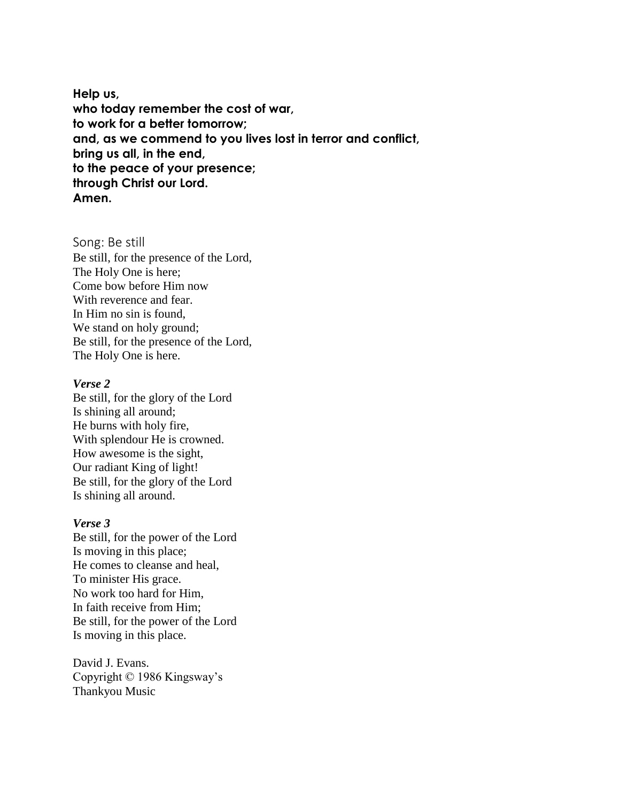**Help us, who today remember the cost of war, to work for a better tomorrow; and, as we commend to you lives lost in terror and conflict, bring us all, in the end, to the peace of your presence; through Christ our Lord. Amen.**

Song: Be still Be still, for the presence of the Lord, The Holy One is here; Come bow before Him now With reverence and fear. In Him no sin is found, We stand on holy ground; Be still, for the presence of the Lord, The Holy One is here.

#### *Verse 2*

Be still, for the glory of the Lord Is shining all around; He burns with holy fire, With splendour He is crowned. How awesome is the sight, Our radiant King of light! Be still, for the glory of the Lord Is shining all around.

#### *Verse 3*

Be still, for the power of the Lord Is moving in this place; He comes to cleanse and heal, To minister His grace. No work too hard for Him, In faith receive from Him; Be still, for the power of the Lord Is moving in this place.

David J. Evans. Copyright © 1986 Kingsway's Thankyou Music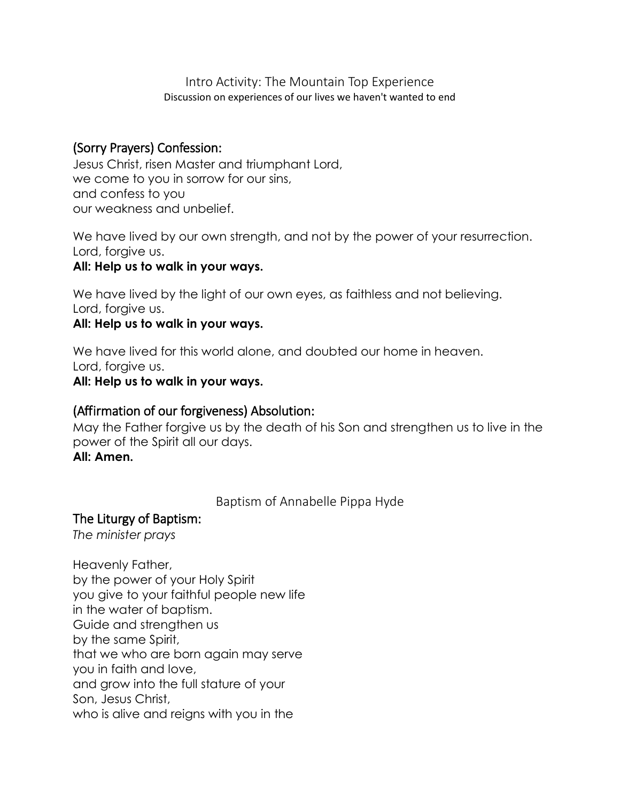Intro Activity: The Mountain Top Experience Discussion on experiences of our lives we haven't wanted to end

### (Sorry Prayers) Confession:

Jesus Christ, risen Master and triumphant Lord, we come to you in sorrow for our sins, and confess to you our weakness and unbelief.

We have lived by our own strength, and not by the power of your resurrection. Lord, forgive us.

### **All: Help us to walk in your ways.**

We have lived by the light of our own eyes, as faithless and not believing. Lord, forgive us.

### **All: Help us to walk in your ways.**

We have lived for this world alone, and doubted our home in heaven. Lord, forgive us.

#### **All: Help us to walk in your ways.**

#### (Affirmation of our forgiveness) Absolution:

May the Father forgive us by the death of his Son and strengthen us to live in the power of the Spirit all our days.

### **All: Amen.**

Baptism of Annabelle Pippa Hyde

#### The Liturgy of Baptism:

*The minister prays*

Heavenly Father, by the power of your Holy Spirit you give to your faithful people new life in the water of baptism. Guide and strengthen us by the same Spirit, that we who are born again may serve you in faith and love, and grow into the full stature of your Son, Jesus Christ, who is alive and reigns with you in the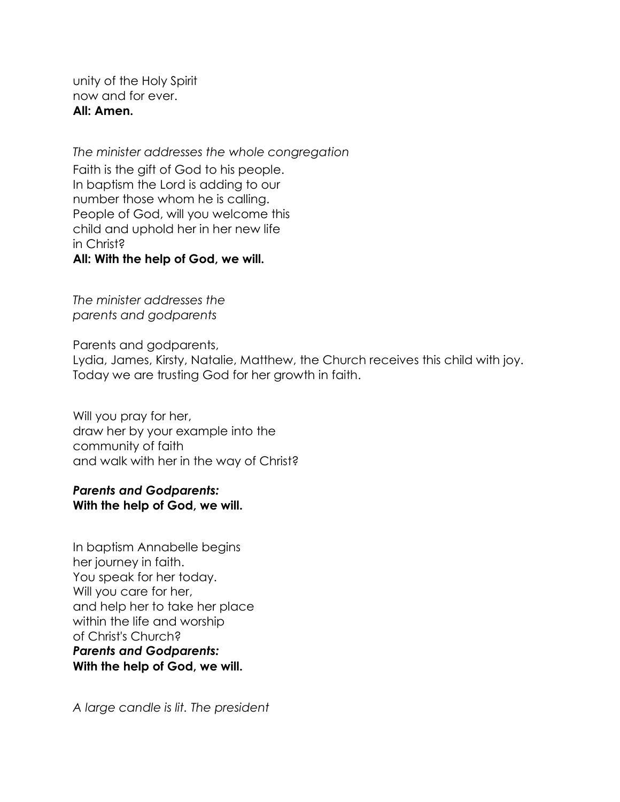unity of the Holy Spirit now and for ever. **All: Amen.**

*The minister addresses the whole congregation* Faith is the gift of God to his people. In baptism the Lord is adding to our number those whom he is calling. People of God, will you welcome this child and uphold her in her new life in Christ? **All: With the help of God, we will.**

*The minister addresses the parents and godparents*

Parents and godparents, Lydia, James, Kirsty, Natalie, Matthew, the Church receives this child with joy. Today we are trusting God for her growth in faith.

Will you pray for her, draw her by your example into the community of faith and walk with her in the way of Christ?

### *Parents and Godparents:*  **With the help of God, we will.**

In baptism Annabelle begins her journey in faith. You speak for her today. Will you care for her, and help her to take her place within the life and worship of Christ's Church? *Parents and Godparents:*  **With the help of God, we will.**

*A large candle is lit. The president*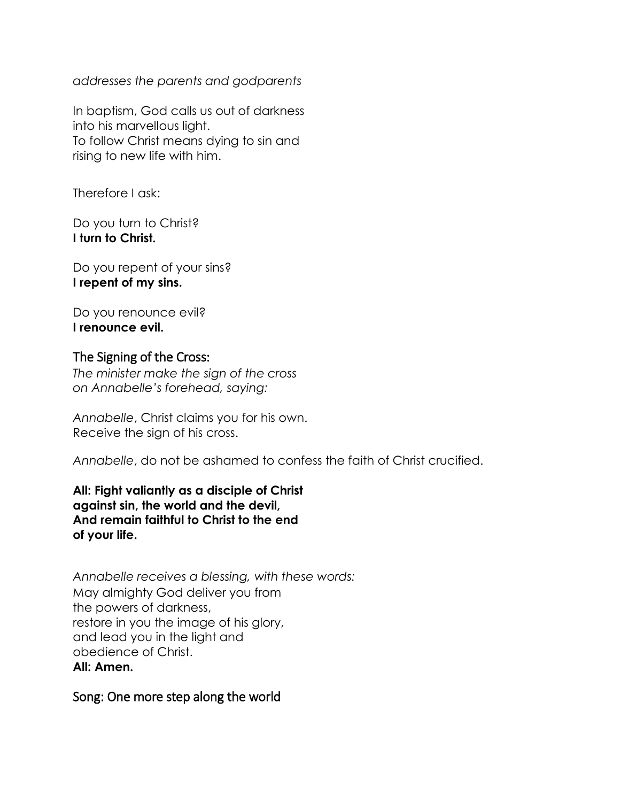*addresses the parents and godparents*

In baptism, God calls us out of darkness into his marvellous light. To follow Christ means dying to sin and rising to new life with him.

Therefore I ask:

Do you turn to Christ? **I turn to Christ.**

Do you repent of your sins? **I repent of my sins.**

Do you renounce evil? **I renounce evil.**

### The Signing of the Cross:

*The minister make the sign of the cross on Annabelle's forehead, saying:*

*Annabelle*, Christ claims you for his own. Receive the sign of his cross.

*Annabelle*, do not be ashamed to confess the faith of Christ crucified.

**All: Fight valiantly as a disciple of Christ against sin, the world and the devil, And remain faithful to Christ to the end of your life.**

*Annabelle receives a blessing, with these words:* May almighty God deliver you from the powers of darkness, restore in you the image of his glory, and lead you in the light and obedience of Christ. **All: Amen.**

### Song: One more step along the world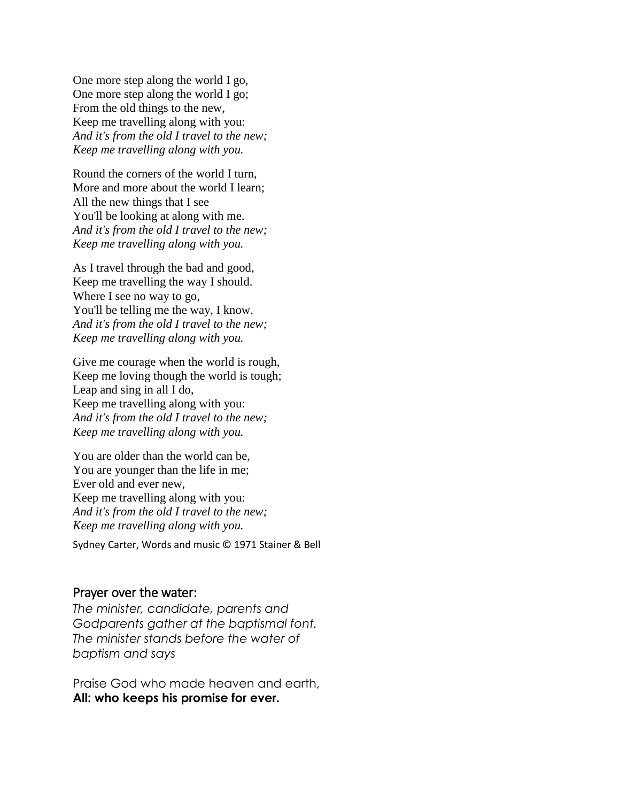One more step along the world I go, One more step along the world I go; From the old things to the new, Keep me travelling along with you: *And it's from the old I travel to the new; Keep me travelling along with you.*

Round the corners of the world I turn, More and more about the world I learn; All the new things that I see You'll be looking at along with me. *And it's from the old I travel to the new; Keep me travelling along with you.*

As I travel through the bad and good, Keep me travelling the way I should. Where I see no way to go, You'll be telling me the way, I know. *And it's from the old I travel to the new; Keep me travelling along with you.*

Give me courage when the world is rough, Keep me loving though the world is tough; Leap and sing in all I do, Keep me travelling along with you: *And it's from the old I travel to the new; Keep me travelling along with you.*

You are older than the world can be, You are younger than the life in me; Ever old and ever new, Keep me travelling along with you: *And it's from the old I travel to the new; Keep me travelling along with you.*

Sydney Carter, Words and music © 1971 Stainer & Bell

#### Prayer over the water:

*The minister, candidate, parents and Godparents gather at the baptismal font. The minister stands before the water of baptism and says*

Praise God who made heaven and earth, **All: who keeps his promise for ever.**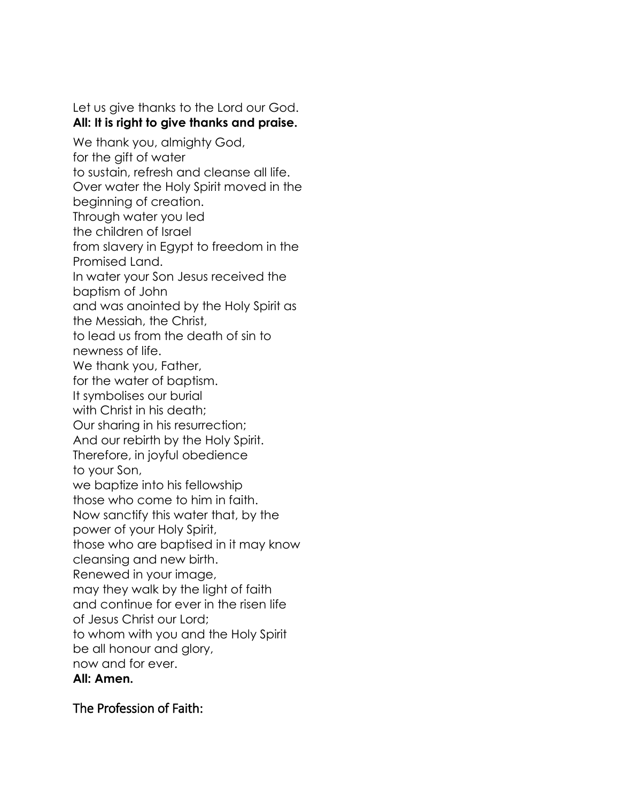Let us give thanks to the Lord our God. **All: It is right to give thanks and praise.** We thank you, almighty God, for the gift of water to sustain, refresh and cleanse all life. Over water the Holy Spirit moved in the beginning of creation.

Through water you led

the children of Israel

from slavery in Egypt to freedom in the Promised Land.

In water your Son Jesus received the

baptism of John

and was anointed by the Holy Spirit as

the Messiah, the Christ,

to lead us from the death of sin to

newness of life.

We thank you, Father,

for the water of baptism.

It symbolises our burial

with Christ in his death;

Our sharing in his resurrection;

And our rebirth by the Holy Spirit.

Therefore, in joyful obedience to your Son,

we baptize into his fellowship

those who come to him in faith.

Now sanctify this water that, by the

power of your Holy Spirit,

those who are baptised in it may know

cleansing and new birth.

Renewed in your image,

may they walk by the light of faith

and continue for ever in the risen life

of Jesus Christ our Lord;

to whom with you and the Holy Spirit

be all honour and glory,

now and for ever.

**All: Amen.**

The Profession of Faith: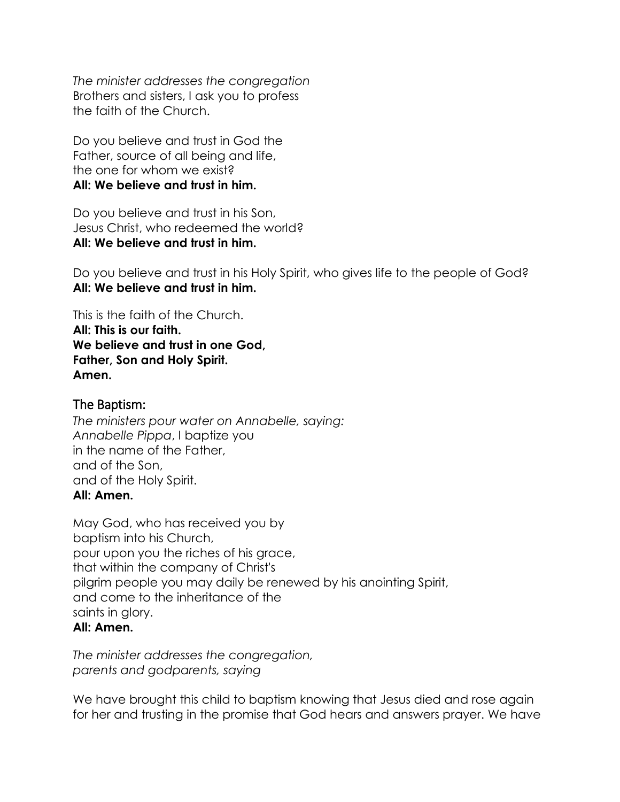*The minister addresses the congregation* Brothers and sisters, I ask you to profess the faith of the Church.

Do you believe and trust in God the Father, source of all being and life, the one for whom we exist? **All: We believe and trust in him.**

Do you believe and trust in his Son, Jesus Christ, who redeemed the world? **All: We believe and trust in him.**

Do you believe and trust in his Holy Spirit, who gives life to the people of God? **All: We believe and trust in him.**

This is the faith of the Church. **All: This is our faith. We believe and trust in one God, Father, Son and Holy Spirit. Amen.**

### The Baptism:

*The ministers pour water on Annabelle, saying: Annabelle Pippa*, I baptize you in the name of the Father, and of the Son, and of the Holy Spirit. **All: Amen.**

May God, who has received you by baptism into his Church, pour upon you the riches of his grace, that within the company of Christ's pilgrim people you may daily be renewed by his anointing Spirit, and come to the inheritance of the saints in glory. **All: Amen.**

### *The minister addresses the congregation, parents and godparents, saying*

We have brought this child to baptism knowing that Jesus died and rose again for her and trusting in the promise that God hears and answers prayer. We have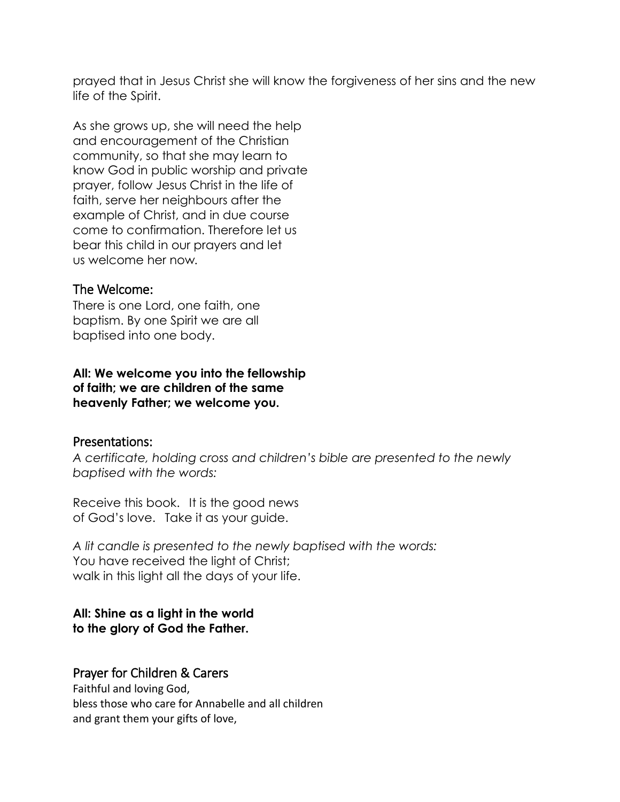prayed that in Jesus Christ she will know the forgiveness of her sins and the new life of the Spirit.

As she grows up, she will need the help and encouragement of the Christian community, so that she may learn to know God in public worship and private prayer, follow Jesus Christ in the life of faith, serve her neighbours after the example of Christ, and in due course come to confirmation. Therefore let us bear this child in our prayers and let us welcome her now*.*

#### The Welcome:

There is one Lord, one faith, one baptism. By one Spirit we are all baptised into one body.

**All: We welcome you into the fellowship of faith; we are children of the same heavenly Father; we welcome you.**

### Presentations:

*A certificate, holding cross and children's bible are presented to the newly baptised with the words:*

Receive this book. It is the good news of God's love. Take it as your guide.

*A lit candle is presented to the newly baptised with the words:* You have received the light of Christ; walk in this light all the days of your life.

### **All: Shine as a light in the world to the glory of God the Father.**

### Prayer for Children & Carers

Faithful and loving God, bless those who care for Annabelle and all children and grant them your gifts of love,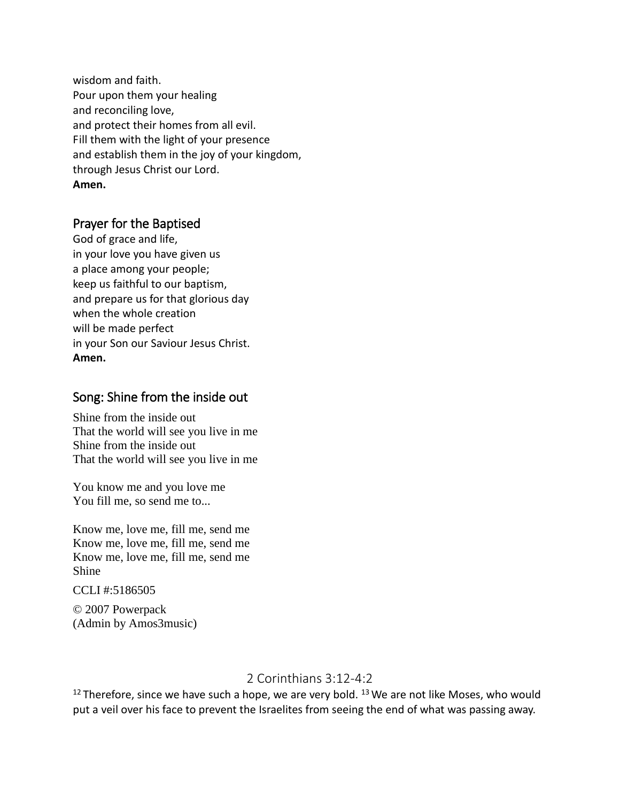wisdom and faith. Pour upon them your healing and reconciling love, and protect their homes from all evil. Fill them with the light of your presence and establish them in the joy of your kingdom, through Jesus Christ our Lord. **Amen.**

### Prayer for the Baptised

God of grace and life, in your love you have given us a place among your people; keep us faithful to our baptism, and prepare us for that glorious day when the whole creation will be made perfect in your Son our Saviour Jesus Christ. **Amen.**

## Song: Shine from the inside out

Shine from the inside out That the world will see you live in me Shine from the inside out That the world will see you live in me

You know me and you love me You fill me, so send me to...

Know me, love me, fill me, send me Know me, love me, fill me, send me Know me, love me, fill me, send me Shine

CCLI #:5186505

© 2007 Powerpack (Admin by Amos3music)

# 2 Corinthians 3:12-4:2

 $12$  Therefore, since we have such a hope, we are very bold.  $13$  We are not like Moses, who would put a veil over his face to prevent the Israelites from seeing the end of what was passing away.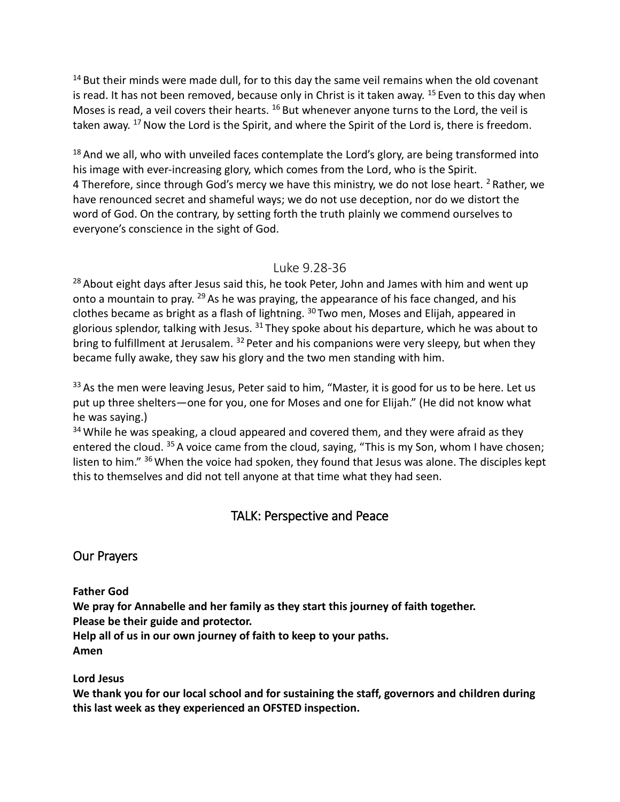$14$  But their minds were made dull, for to this day the same veil remains when the old covenant is read. It has not been removed, because only in Christ is it taken away. <sup>15</sup> Even to this day when Moses is read, a veil covers their hearts.  $^{16}$  But whenever anyone turns to the Lord, the veil is taken away. <sup>17</sup> Now the Lord is the Spirit, and where the Spirit of the Lord is, there is freedom.

 $18$  And we all, who with unveiled faces contemplate the Lord's glory, are being transformed into his image with ever-increasing glory, which comes from the Lord, who is the Spirit. 4 Therefore, since through God's mercy we have this ministry, we do not lose heart.  $2$  Rather, we have renounced secret and shameful ways; we do not use deception, nor do we distort the word of God. On the contrary, by setting forth the truth plainly we commend ourselves to everyone's conscience in the sight of God.

### Luke 9.28-36

<sup>28</sup> About eight days after Jesus said this, he took Peter, John and James with him and went up onto a mountain to pray. <sup>29</sup> As he was praying, the appearance of his face changed, and his clothes became as bright as a flash of lightning. <sup>30</sup> Two men, Moses and Elijah, appeared in glorious splendor, talking with Jesus.  $31$  They spoke about his departure, which he was about to bring to fulfillment at Jerusalem. <sup>32</sup> Peter and his companions were very sleepy, but when they became fully awake, they saw his glory and the two men standing with him.

<sup>33</sup> As the men were leaving Jesus, Peter said to him, "Master, it is good for us to be here. Let us put up three shelters—one for you, one for Moses and one for Elijah." (He did not know what he was saying.)

 $34$  While he was speaking, a cloud appeared and covered them, and they were afraid as they entered the cloud. <sup>35</sup> A voice came from the cloud, saying, "This is my Son, whom I have chosen; listen to him." <sup>36</sup> When the voice had spoken, they found that Jesus was alone. The disciples kept this to themselves and did not tell anyone at that time what they had seen.

# TALK: Perspective and Peace

# Our Prayers

**Father God**

**We pray for Annabelle and her family as they start this journey of faith together.** 

**Please be their guide and protector.**

**Help all of us in our own journey of faith to keep to your paths.**

**Amen**

**Lord Jesus**

**We thank you for our local school and for sustaining the staff, governors and children during this last week as they experienced an OFSTED inspection.**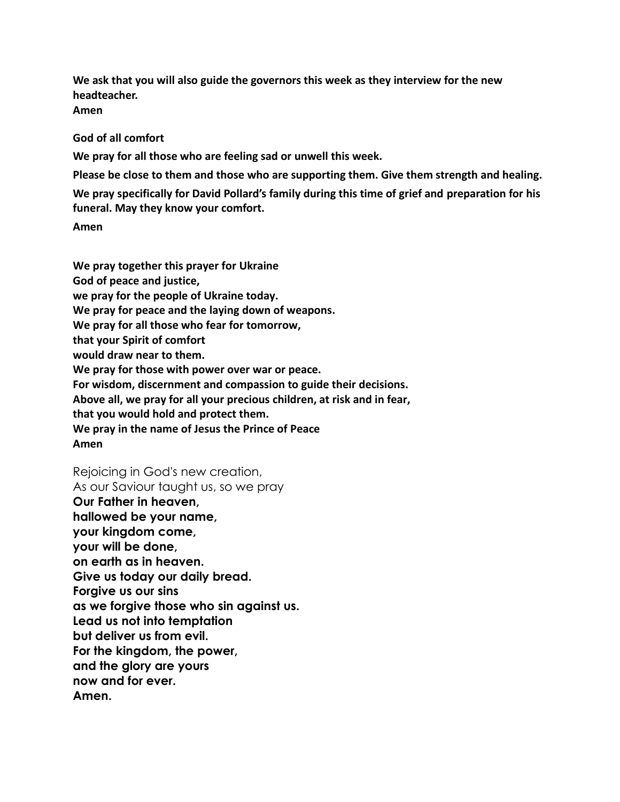**We ask that you will also guide the governors this week as they interview for the new headteacher. Amen**

#### **God of all comfort**

**We pray for all those who are feeling sad or unwell this week.**

**Please be close to them and those who are supporting them. Give them strength and healing. We pray specifically for David Pollard's family during this time of grief and preparation for his funeral. May they know your comfort.**

**Amen**

**We pray together this prayer for Ukraine God of peace and justice, we pray for the people of Ukraine today. We pray for peace and the laying down of weapons. We pray for all those who fear for tomorrow, that your Spirit of comfort would draw near to them. We pray for those with power over war or peace. For wisdom, discernment and compassion to guide their decisions. Above all, we pray for all your precious children, at risk and in fear, that you would hold and protect them. We pray in the name of Jesus the Prince of Peace Amen**

Rejoicing in God's new creation, As our Saviour taught us, so we pray **Our Father in heaven, hallowed be your name, your kingdom come, your will be done, on earth as in heaven. Give us today our daily bread. Forgive us our sins as we forgive those who sin against us. Lead us not into temptation but deliver us from evil. For the kingdom, the power, and the glory are yours now and for ever. Amen.**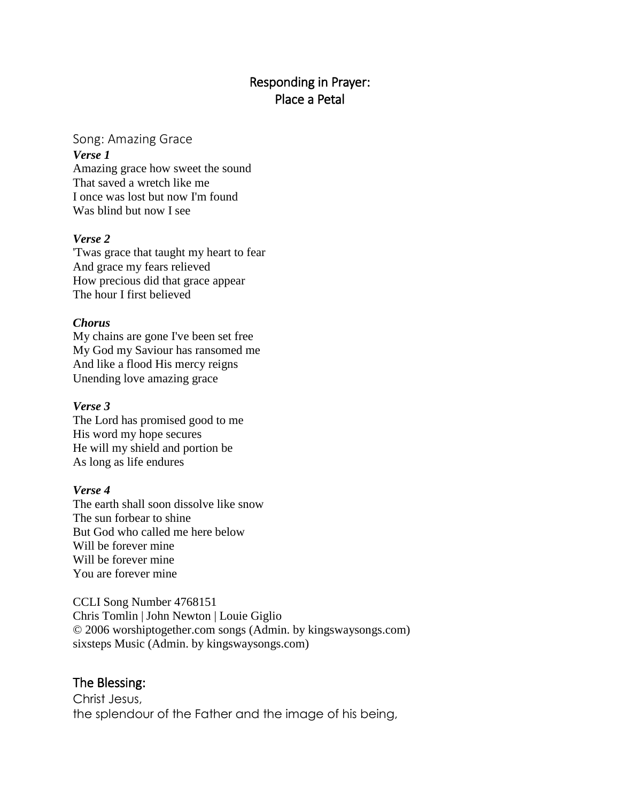# Responding in Prayer: Place a Petal

#### Song: Amazing Grace

#### *Verse 1*

Amazing grace how sweet the sound That saved a wretch like me I once was lost but now I'm found Was blind but now I see

#### *Verse 2*

'Twas grace that taught my heart to fear And grace my fears relieved How precious did that grace appear The hour I first believed

#### *Chorus*

My chains are gone I've been set free My God my Saviour has ransomed me And like a flood His mercy reigns Unending love amazing grace

#### *Verse 3*

The Lord has promised good to me His word my hope secures He will my shield and portion be As long as life endures

#### *Verse 4*

The earth shall soon dissolve like snow The sun forbear to shine But God who called me here below Will be forever mine Will be forever mine You are forever mine

CCLI Song Number 4768151 Chris Tomlin | John Newton | Louie Giglio © 2006 worshiptogether.com songs (Admin. by kingswaysongs.com) sixsteps Music (Admin. by kingswaysongs.com)

### The Blessing:

Christ Jesus, the splendour of the Father and the image of his being,